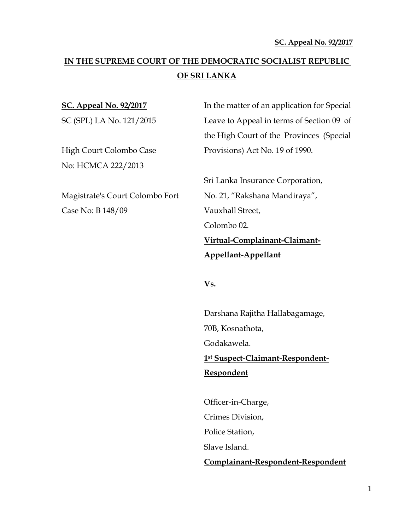# **IN THE SUPREME COURT OF THE DEMOCRATIC SOCIALIST REPUBLIC OF SRI LANKA**

No: HCMCA 222/2013

Case No: B 148/09 Vauxhall Street,

**SC. Appeal No. 92/2017** In the matter of an application for Special SC (SPL) LA No. 121/2015 Leave to Appeal in terms of Section 09 of the High Court of the Provinces (Special High Court Colombo Case Provisions) Act No. 19 of 1990.

Sri Lanka Insurance Corporation, Magistrate's Court Colombo Fort No. 21, "Rakshana Mandiraya", Colombo 02. **Virtual-Complainant-Claimant-Appellant-Appellant**

**Vs.**

Darshana Rajitha Hallabagamage, 70B, Kosnathota, Godakawela. **1st Suspect-Claimant-Respondent-Respondent**

Officer-in-Charge, Crimes Division, Police Station, Slave Island. **Complainant-Respondent-Respondent**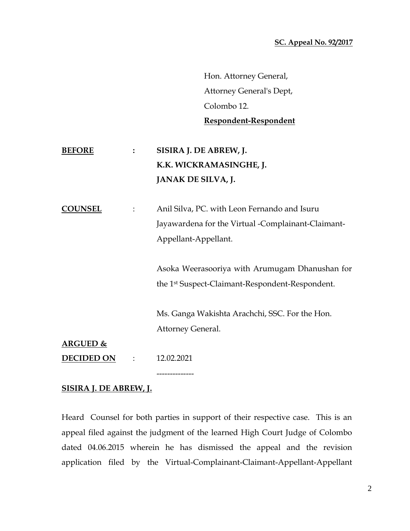Hon. Attorney General, Attorney General's Dept, Colombo 12. **Respondent-Respondent**

# **BEFORE : SISIRA J. DE ABREW, J. K.K. WICKRAMASINGHE, J. JANAK DE SILVA, J.**

**COUNSEL** : Anil Silva, PC. with Leon Fernando and Isuru Jayawardena for the Virtual -Complainant-Claimant-Appellant-Appellant.

> Asoka Weerasooriya with Arumugam Dhanushan for the 1st Suspect-Claimant-Respondent-Respondent.

Ms. Ganga Wakishta Arachchi, SSC. For the Hon. Attorney General.

**ARGUED &**

**DECIDED ON** : 12.02.2021

### **SISIRA J. DE ABREW, J.**

Heard Counsel for both parties in support of their respective case. This is an appeal filed against the judgment of the learned High Court Judge of Colombo dated 04.06.2015 wherein he has dismissed the appeal and the revision application filed by the Virtual-Complainant-Claimant-Appellant-Appellant

--------------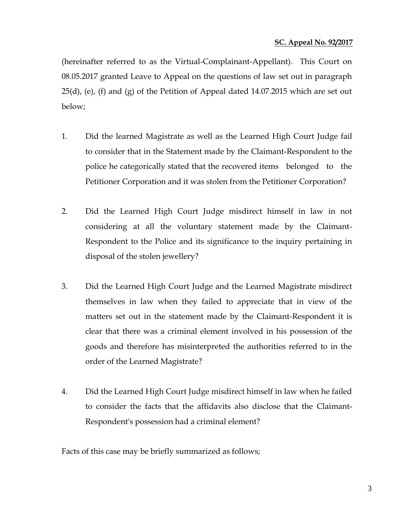(hereinafter referred to as the Virtual-Complainant-Appellant). This Court on 08.05.2017 granted Leave to Appeal on the questions of law set out in paragraph 25(d), (e), (f) and (g) of the Petition of Appeal dated 14.07.2015 which are set out below;

- 1. Did the learned Magistrate as well as the Learned High Court Judge fail to consider that in the Statement made by the Claimant-Respondent to the police he categorically stated that the recovered items belonged to the Petitioner Corporation and it was stolen from the Petitioner Corporation?
- 2. Did the Learned High Court Judge misdirect himself in law in not considering at all the voluntary statement made by the Claimant-Respondent to the Police and its significance to the inquiry pertaining in disposal of the stolen jewellery?
- 3. Did the Learned High Court Judge and the Learned Magistrate misdirect themselves in law when they failed to appreciate that in view of the matters set out in the statement made by the Claimant-Respondent it is clear that there was a criminal element involved in his possession of the goods and therefore has misinterpreted the authorities referred to in the order of the Learned Magistrate?
- 4. Did the Learned High Court Judge misdirect himself in law when he failed to consider the facts that the affidavits also disclose that the Claimant-Respondent's possession had a criminal element?

Facts of this case may be briefly summarized as follows;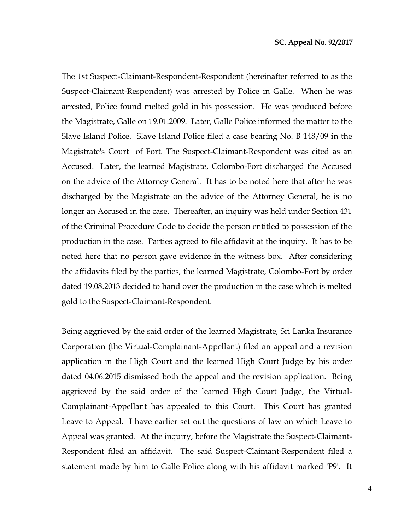The 1st Suspect-Claimant-Respondent-Respondent (hereinafter referred to as the Suspect-Claimant-Respondent) was arrested by Police in Galle. When he was arrested, Police found melted gold in his possession. He was produced before the Magistrate, Galle on 19.01.2009. Later, Galle Police informed the matter to the Slave Island Police. Slave Island Police filed a case bearing No. B 148/09 in the Magistrate's Court of Fort. The Suspect-Claimant-Respondent was cited as an Accused. Later, the learned Magistrate, Colombo-Fort discharged the Accused on the advice of the Attorney General. It has to be noted here that after he was discharged by the Magistrate on the advice of the Attorney General, he is no longer an Accused in the case. Thereafter, an inquiry was held under Section 431 of the Criminal Procedure Code to decide the person entitled to possession of the production in the case. Parties agreed to file affidavit at the inquiry. It has to be noted here that no person gave evidence in the witness box. After considering the affidavits filed by the parties, the learned Magistrate, Colombo-Fort by order dated 19.08.2013 decided to hand over the production in the case which is melted gold to the Suspect-Claimant-Respondent.

Being aggrieved by the said order of the learned Magistrate, Sri Lanka Insurance Corporation (the Virtual-Complainant-Appellant) filed an appeal and a revision application in the High Court and the learned High Court Judge by his order dated 04.06.2015 dismissed both the appeal and the revision application. Being aggrieved by the said order of the learned High Court Judge, the Virtual-Complainant-Appellant has appealed to this Court. This Court has granted Leave to Appeal. I have earlier set out the questions of law on which Leave to Appeal was granted. At the inquiry, before the Magistrate the Suspect-Claimant-Respondent filed an affidavit. The said Suspect-Claimant-Respondent filed a statement made by him to Galle Police along with his affidavit marked 'P9'. It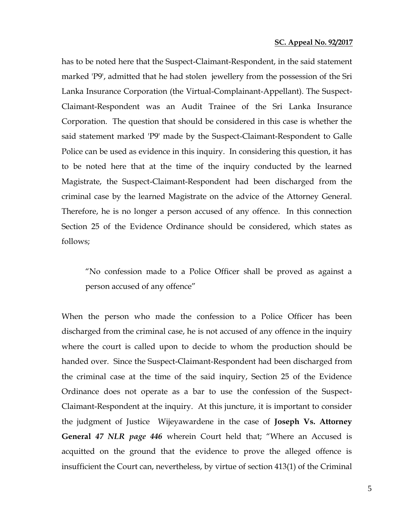has to be noted here that the Suspect-Claimant-Respondent, in the said statement marked 'P9', admitted that he had stolen jewellery from the possession of the Sri Lanka Insurance Corporation (the Virtual-Complainant-Appellant). The Suspect-Claimant-Respondent was an Audit Trainee of the Sri Lanka Insurance Corporation. The question that should be considered in this case is whether the said statement marked 'P9' made by the Suspect-Claimant-Respondent to Galle Police can be used as evidence in this inquiry. In considering this question, it has to be noted here that at the time of the inquiry conducted by the learned Magistrate, the Suspect-Claimant-Respondent had been discharged from the criminal case by the learned Magistrate on the advice of the Attorney General. Therefore, he is no longer a person accused of any offence. In this connection Section 25 of the Evidence Ordinance should be considered, which states as follows;

"No confession made to a Police Officer shall be proved as against a person accused of any offence"

When the person who made the confession to a Police Officer has been discharged from the criminal case, he is not accused of any offence in the inquiry where the court is called upon to decide to whom the production should be handed over. Since the Suspect-Claimant-Respondent had been discharged from the criminal case at the time of the said inquiry, Section 25 of the Evidence Ordinance does not operate as a bar to use the confession of the Suspect-Claimant-Respondent at the inquiry. At this juncture, it is important to consider the judgment of Justice Wijeyawardene in the case of **Joseph Vs. Attorney General** *47 NLR page 446* wherein Court held that; "Where an Accused is acquitted on the ground that the evidence to prove the alleged offence is insufficient the Court can, nevertheless, by virtue of section 413(1) of the Criminal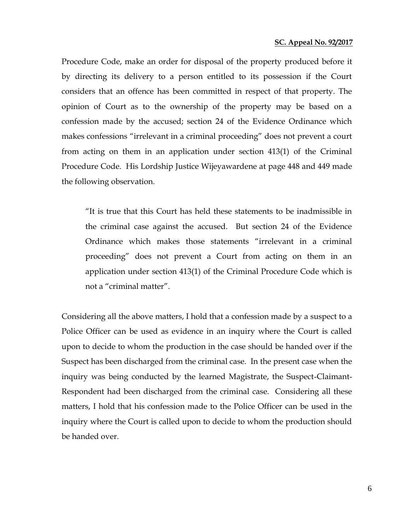Procedure Code, make an order for disposal of the property produced before it by directing its delivery to a person entitled to its possession if the Court considers that an offence has been committed in respect of that property. The opinion of Court as to the ownership of the property may be based on a confession made by the accused; section 24 of the Evidence Ordinance which makes confessions "irrelevant in a criminal proceeding" does not prevent a court from acting on them in an application under section 413(1) of the Criminal Procedure Code. His Lordship Justice Wijeyawardene at page 448 and 449 made the following observation.

"It is true that this Court has held these statements to be inadmissible in the criminal case against the accused. But section 24 of the Evidence Ordinance which makes those statements "irrelevant in a criminal proceeding" does not prevent a Court from acting on them in an application under section 413(1) of the Criminal Procedure Code which is not a "criminal matter".

Considering all the above matters, I hold that a confession made by a suspect to a Police Officer can be used as evidence in an inquiry where the Court is called upon to decide to whom the production in the case should be handed over if the Suspect has been discharged from the criminal case. In the present case when the inquiry was being conducted by the learned Magistrate, the Suspect-Claimant-Respondent had been discharged from the criminal case. Considering all these matters, I hold that his confession made to the Police Officer can be used in the inquiry where the Court is called upon to decide to whom the production should be handed over.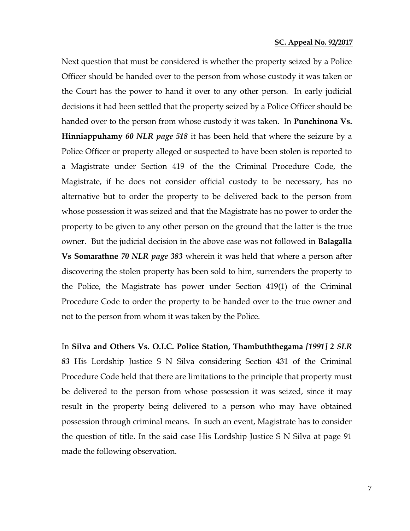Next question that must be considered is whether the property seized by a Police Officer should be handed over to the person from whose custody it was taken or the Court has the power to hand it over to any other person. In early judicial decisions it had been settled that the property seized by a Police Officer should be handed over to the person from whose custody it was taken. In **Punchinona Vs. Hinniappuhamy** *60 NLR page 518* it has been held that where the seizure by a Police Officer or property alleged or suspected to have been stolen is reported to a Magistrate under Section 419 of the the Criminal Procedure Code, the Magistrate, if he does not consider official custody to be necessary, has no alternative but to order the property to be delivered back to the person from whose possession it was seized and that the Magistrate has no power to order the property to be given to any other person on the ground that the latter is the true owner. But the judicial decision in the above case was not followed in **Balagalla Vs Somarathne** *70 NLR page 383* wherein it was held that where a person after discovering the stolen property has been sold to him, surrenders the property to the Police, the Magistrate has power under Section 419(1) of the Criminal Procedure Code to order the property to be handed over to the true owner and not to the person from whom it was taken by the Police.

In **Silva and Others Vs. O.I.C. Police Station, Thambuththegama** *[1991] 2 SLR 83* His Lordship Justice S N Silva considering Section 431 of the Criminal Procedure Code held that there are limitations to the principle that property must be delivered to the person from whose possession it was seized, since it may result in the property being delivered to a person who may have obtained possession through criminal means. In such an event, Magistrate has to consider the question of title. In the said case His Lordship Justice S N Silva at page 91 made the following observation.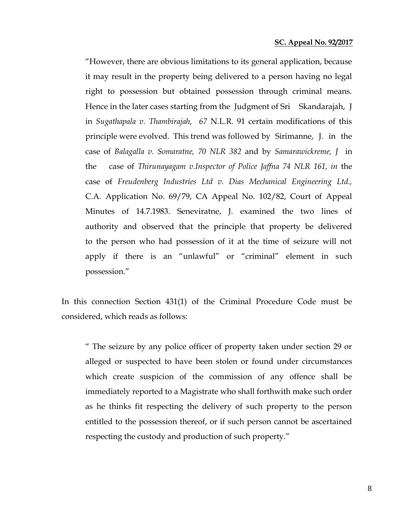"However, there are obvious limitations to its general application, because it may result in the property being delivered to a person having no legal right to possession but obtained possession through criminal means. Hence in the later cases starting from the Judgment of Sri Skandarajah, J in *Sugathapala v. Thambirajah, 67* N.L.R. 91 certain modifications of this principle were evolved. This trend was followed by Sirimanne, J. in the case of *Balagalla v. Somaratne, 70 NLR 382* and by *Samarawickreme, J* in the case of *Thirunayagam v.Inspector of Police Jaffna 74 NLR 161, in* the case of *Freudenberg Industries Ltd v. Dias Mechanical Engineering Ltd.,*  C.A. Application No. 69/79, CA Appeal No. 102/82, Court of Appeal Minutes of 14.7.1983. Seneviratne, J. examined the two lines of authority and observed that the principle that property be delivered to the person who had possession of it at the time of seizure will not apply if there is an "unlawful" or "criminal" element in such possession."

In this connection Section 431(1) of the Criminal Procedure Code must be considered, which reads as follows:

" The seizure by any police officer of property taken under section 29 or alleged or suspected to have been stolen or found under circumstances which create suspicion of the commission of any offence shall be immediately reported to a Magistrate who shall forthwith make such order as he thinks fit respecting the delivery of such property to the person entitled to the possession thereof, or if such person cannot be ascertained respecting the custody and production of such property."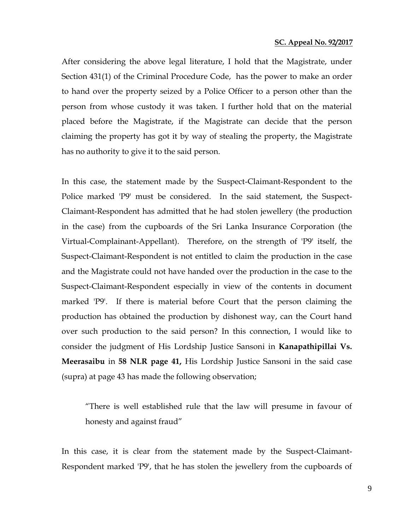After considering the above legal literature, I hold that the Magistrate, under Section 431(1) of the Criminal Procedure Code, has the power to make an order to hand over the property seized by a Police Officer to a person other than the person from whose custody it was taken. I further hold that on the material placed before the Magistrate, if the Magistrate can decide that the person claiming the property has got it by way of stealing the property, the Magistrate has no authority to give it to the said person.

In this case, the statement made by the Suspect-Claimant-Respondent to the Police marked 'P9' must be considered. In the said statement, the Suspect-Claimant-Respondent has admitted that he had stolen jewellery (the production in the case) from the cupboards of the Sri Lanka Insurance Corporation (the Virtual-Complainant-Appellant). Therefore, on the strength of 'P9' itself, the Suspect-Claimant-Respondent is not entitled to claim the production in the case and the Magistrate could not have handed over the production in the case to the Suspect-Claimant-Respondent especially in view of the contents in document marked 'P9'. If there is material before Court that the person claiming the production has obtained the production by dishonest way, can the Court hand over such production to the said person? In this connection, I would like to consider the judgment of His Lordship Justice Sansoni in **Kanapathipillai Vs. Meerasaibu** in **58 NLR page 41,** His Lordship Justice Sansoni in the said case (supra) at page 43 has made the following observation;

"There is well established rule that the law will presume in favour of honesty and against fraud"

In this case, it is clear from the statement made by the Suspect-Claimant-Respondent marked 'P9', that he has stolen the jewellery from the cupboards of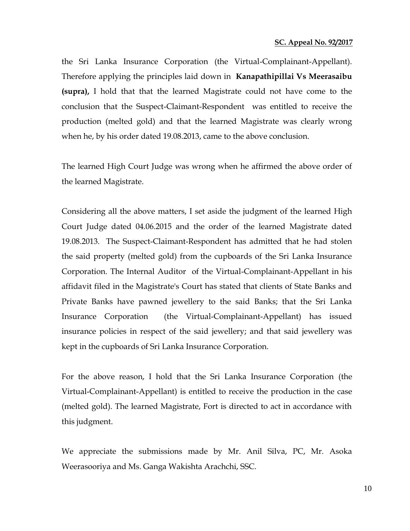the Sri Lanka Insurance Corporation (the Virtual-Complainant-Appellant). Therefore applying the principles laid down in **Kanapathipillai Vs Meerasaibu (supra),** I hold that that the learned Magistrate could not have come to the conclusion that the Suspect-Claimant-Respondent was entitled to receive the production (melted gold) and that the learned Magistrate was clearly wrong when he, by his order dated 19.08.2013, came to the above conclusion.

The learned High Court Judge was wrong when he affirmed the above order of the learned Magistrate.

Considering all the above matters, I set aside the judgment of the learned High Court Judge dated 04.06.2015 and the order of the learned Magistrate dated 19.08.2013. The Suspect-Claimant-Respondent has admitted that he had stolen the said property (melted gold) from the cupboards of the Sri Lanka Insurance Corporation. The Internal Auditor of the Virtual-Complainant-Appellant in his affidavit filed in the Magistrate's Court has stated that clients of State Banks and Private Banks have pawned jewellery to the said Banks; that the Sri Lanka Insurance Corporation (the Virtual-Complainant-Appellant) has issued insurance policies in respect of the said jewellery; and that said jewellery was kept in the cupboards of Sri Lanka Insurance Corporation.

For the above reason, I hold that the Sri Lanka Insurance Corporation (the Virtual-Complainant-Appellant) is entitled to receive the production in the case (melted gold). The learned Magistrate, Fort is directed to act in accordance with this judgment.

We appreciate the submissions made by Mr. Anil Silva, PC, Mr. Asoka Weerasooriya and Ms. Ganga Wakishta Arachchi, SSC.